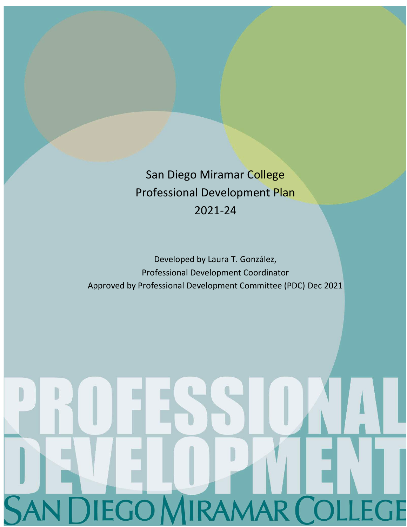San Diego Miramar College Professional Development Plan 2021-24

Developed by Laura T. González, Professional Development Coordinator Approved by Professional Development Committee (PDC) Dec 2021

# R CO GE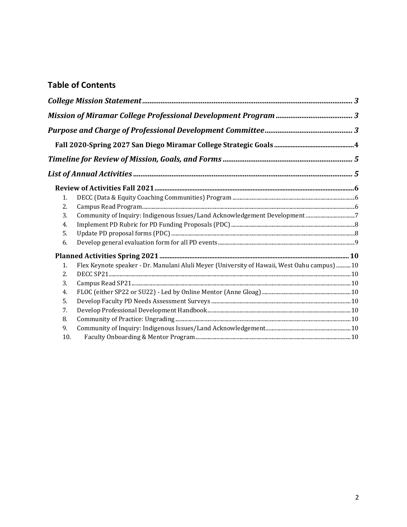## **Table of Contents**

| 1.  |                                                                                              |  |
|-----|----------------------------------------------------------------------------------------------|--|
| 2.  |                                                                                              |  |
| 3.  | Community of Inquiry: Indigenous Issues/Land Acknowledgement Development7                    |  |
| 4.  |                                                                                              |  |
| 5.  |                                                                                              |  |
| 6.  |                                                                                              |  |
|     |                                                                                              |  |
| 1.  | Flex Keynote speaker - Dr. Manulani Aluli Meyer (University of Hawaii, West Oahu campus)  10 |  |
| 2.  |                                                                                              |  |
| 3.  |                                                                                              |  |
| 4.  |                                                                                              |  |
| 5.  |                                                                                              |  |
| 7.  |                                                                                              |  |
| 8.  |                                                                                              |  |
| 9.  |                                                                                              |  |
| 10. |                                                                                              |  |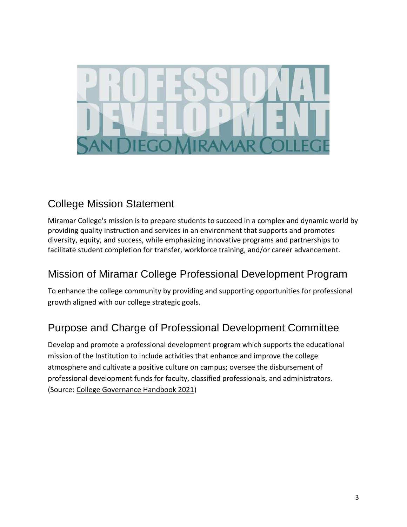

# <span id="page-2-0"></span>College Mission Statement

Miramar College's mission is to prepare students to succeed in a complex and dynamic world by providing quality instruction and services in an environment that supports and promotes diversity, equity, and success, while emphasizing innovative programs and partnerships to facilitate student completion for transfer, workforce training, and/or career advancement.

# <span id="page-2-1"></span>Mission of Miramar College Professional Development Program

To enhance the college community by providing and supporting opportunities for professional growth aligned with our college strategic goals.

# <span id="page-2-2"></span>Purpose and Charge of Professional Development Committee

Develop and promote a professional development program which supports the educational mission of the Institution to include activities that enhance and improve the college atmosphere and cultivate a positive culture on campus; oversee the disbursement of professional development funds for faculty, classified professionals, and administrators. (Source: [College Governance Handbook 2021\)](https://sdmiramar.edu/sites/default/files/2021-08/College_Governance_Handbook.pdf)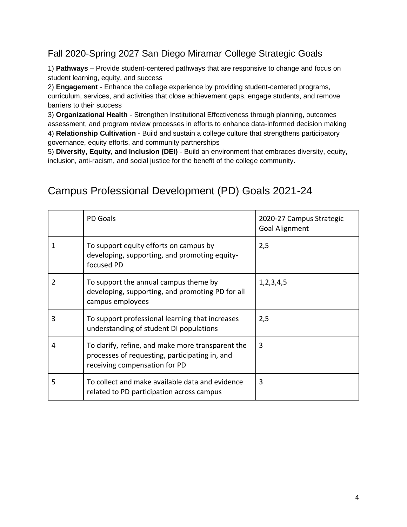# <span id="page-3-0"></span>Fall 2020-Spring 2027 San Diego Miramar College Strategic Goals

1) **Pathways** – Provide student-centered pathways that are responsive to change and focus on student learning, equity, and success

2) **Engagement** - Enhance the college experience by providing student-centered programs, curriculum, services, and activities that close achievement gaps, engage students, and remove barriers to their success

3) **Organizational Health** - Strengthen Institutional Effectiveness through planning, outcomes assessment, and program review processes in efforts to enhance data-informed decision making 4) **Relationship Cultivation** - Build and sustain a college culture that strengthens participatory governance, equity efforts, and community partnerships

5) **Diversity, Equity, and Inclusion (DEI)** - Build an environment that embraces diversity, equity, inclusion, anti-racism, and social justice for the benefit of the college community.

# Campus Professional Development (PD) Goals 2021-24

|   | PD Goals                                                                                                                             | 2020-27 Campus Strategic<br><b>Goal Alignment</b> |
|---|--------------------------------------------------------------------------------------------------------------------------------------|---------------------------------------------------|
| 1 | To support equity efforts on campus by<br>developing, supporting, and promoting equity-<br>focused PD                                | 2,5                                               |
| 2 | To support the annual campus theme by<br>developing, supporting, and promoting PD for all<br>campus employees                        | 1, 2, 3, 4, 5                                     |
| 3 | To support professional learning that increases<br>understanding of student DI populations                                           | 2,5                                               |
| 4 | To clarify, refine, and make more transparent the<br>processes of requesting, participating in, and<br>receiving compensation for PD | 3                                                 |
| 5 | To collect and make available data and evidence<br>related to PD participation across campus                                         | 3                                                 |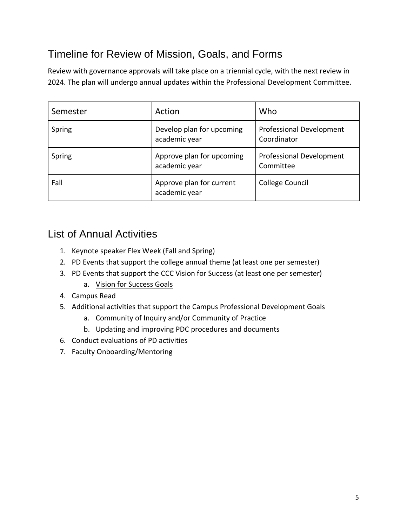# <span id="page-4-0"></span>Timeline for Review of Mission, Goals, and Forms

Review with governance approvals will take place on a triennial cycle, with the next review in 2024. The plan will undergo annual updates within the Professional Development Committee.

| Semester | Action                                     | Who                                            |
|----------|--------------------------------------------|------------------------------------------------|
| Spring   | Develop plan for upcoming<br>academic year | <b>Professional Development</b><br>Coordinator |
| Spring   | Approve plan for upcoming<br>academic year | <b>Professional Development</b><br>Committee   |
| Fall     | Approve plan for current<br>academic year  | College Council                                |

# <span id="page-4-1"></span>List of Annual Activities

- 1. Keynote speaker Flex Week (Fall and Spring)
- 2. PD Events that support the college annual theme (at least one per semester)
- 3. PD Events that support the [CCC Vision for Success](https://www.cccco.edu/About-Us/Vision-for-Success) (at least one per semester)
	- a. [Vision for Success Goals](https://www.cccco.edu/About-Us/Vision-for-Success/vision-goals)
- 4. Campus Read
- 5. Additional activities that support the Campus Professional Development Goals
	- a. Community of Inquiry and/or Community of Practice
	- b. Updating and improving PDC procedures and documents
- 6. Conduct evaluations of PD activities
- 7. Faculty Onboarding/Mentoring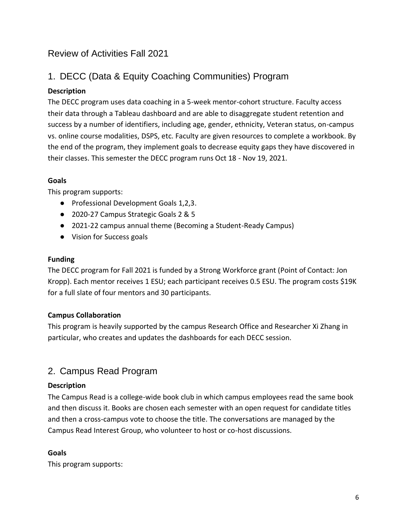# <span id="page-5-0"></span>Review of Activities Fall 2021

# <span id="page-5-1"></span>1. DECC (Data & Equity Coaching Communities) Program

#### **Description**

The DECC program uses data coaching in a 5-week mentor-cohort structure. Faculty access their data through a Tableau dashboard and are able to disaggregate student retention and success by a number of identifiers, including age, gender, ethnicity, Veteran status, on-campus vs. online course modalities, DSPS, etc. Faculty are given resources to complete a workbook. By the end of the program, they implement goals to decrease equity gaps they have discovered in their classes. This semester the DECC program runs Oct 18 - Nov 19, 2021.

#### **Goals**

This program supports:

- Professional Development Goals 1,2,3.
- 2020-27 Campus Strategic Goals 2 & 5
- 2021-22 campus annual theme (Becoming a Student-Ready Campus)
- Vision for Success goals

#### **Funding**

The DECC program for Fall 2021 is funded by a Strong Workforce grant (Point of Contact: Jon Kropp). Each mentor receives 1 ESU; each participant receives 0.5 ESU. The program costs \$19K for a full slate of four mentors and 30 participants.

#### **Campus Collaboration**

This program is heavily supported by the campus Research Office and Researcher Xi Zhang in particular, who creates and updates the dashboards for each DECC session.

## <span id="page-5-2"></span>2. Campus Read Program

#### **Description**

The Campus Read is a college-wide book club in which campus employees read the same book and then discuss it. Books are chosen each semester with an open request for candidate titles and then a cross-campus vote to choose the title. The conversations are managed by the Campus Read Interest Group, who volunteer to host or co-host discussions.

#### **Goals**

This program supports: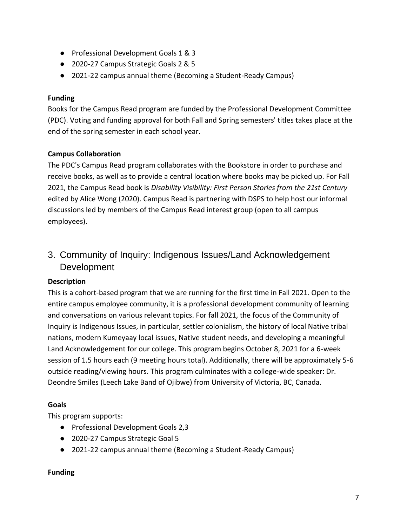- Professional Development Goals 1 & 3
- 2020-27 Campus Strategic Goals 2 & 5
- 2021-22 campus annual theme (Becoming a Student-Ready Campus)

#### **Funding**

Books for the Campus Read program are funded by the Professional Development Committee (PDC). Voting and funding approval for both Fall and Spring semesters' titles takes place at the end of the spring semester in each school year.

#### **Campus Collaboration**

The PDC's Campus Read program collaborates with the Bookstore in order to purchase and receive books, as well as to provide a central location where books may be picked up. For Fall 2021, the Campus Read book is *Disability Visibility: First Person Stories from the 21st Century* edited by Alice Wong (2020). Campus Read is partnering with DSPS to help host our informal discussions led by members of the Campus Read interest group (open to all campus employees).

<span id="page-6-0"></span>3. Community of Inquiry: Indigenous Issues/Land Acknowledgement **Development** 

#### **Description**

This is a cohort-based program that we are running for the first time in Fall 2021. Open to the entire campus employee community, it is a professional development community of learning and conversations on various relevant topics. For fall 2021, the focus of the Community of Inquiry is Indigenous Issues, in particular, settler colonialism, the history of local Native tribal nations, modern Kumeyaay local issues, Native student needs, and developing a meaningful Land Acknowledgement for our college. This program begins October 8, 2021 for a 6-week session of 1.5 hours each (9 meeting hours total). Additionally, there will be approximately 5-6 outside reading/viewing hours. This program culminates with a college-wide speaker: Dr. Deondre Smiles (Leech Lake Band of Ojibwe) from University of Victoria, BC, Canada.

#### **Goals**

This program supports:

- Professional Development Goals 2,3
- 2020-27 Campus Strategic Goal 5
- 2021-22 campus annual theme (Becoming a Student-Ready Campus)

#### **Funding**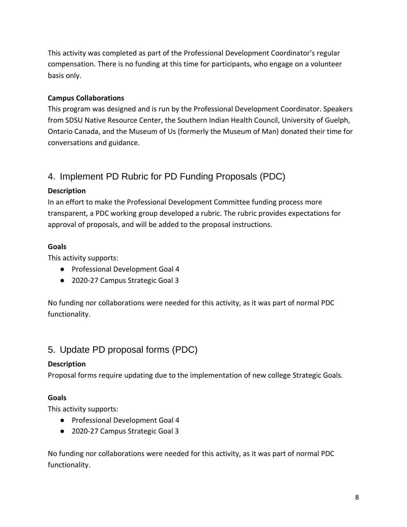This activity was completed as part of the Professional Development Coordinator's regular compensation. There is no funding at this time for participants, who engage on a volunteer basis only.

#### **Campus Collaborations**

This program was designed and is run by the Professional Development Coordinator. Speakers from SDSU Native Resource Center, the Southern Indian Health Council, University of Guelph, Ontario Canada, and the Museum of Us (formerly the Museum of Man) donated their time for conversations and guidance.

# <span id="page-7-0"></span>4. Implement PD Rubric for PD Funding Proposals (PDC)

#### **Description**

In an effort to make the Professional Development Committee funding process more transparent, a PDC working group developed a rubric. The rubric provides expectations for approval of proposals, and will be added to the proposal instructions.

#### **Goals**

This activity supports:

- Professional Development Goal 4
- 2020-27 Campus Strategic Goal 3

No funding nor collaborations were needed for this activity, as it was part of normal PDC functionality.

## <span id="page-7-1"></span>5. Update PD proposal forms (PDC)

#### **Description**

Proposal forms require updating due to the implementation of new college Strategic Goals.

#### **Goals**

This activity supports:

- Professional Development Goal 4
- 2020-27 Campus Strategic Goal 3

No funding nor collaborations were needed for this activity, as it was part of normal PDC functionality.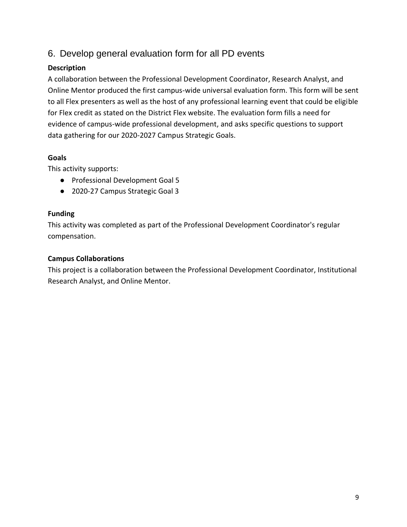## <span id="page-8-0"></span>6. Develop general evaluation form for all PD events

#### **Description**

A collaboration between the Professional Development Coordinator, Research Analyst, and Online Mentor produced the first campus-wide universal evaluation form. This form will be sent to all Flex presenters as well as the host of any professional learning event that could be eligible for Flex credit as stated on the District Flex website. The evaluation form fills a need for evidence of campus-wide professional development, and asks specific questions to support data gathering for our 2020-2027 Campus Strategic Goals.

#### **Goals**

This activity supports:

- Professional Development Goal 5
- 2020-27 Campus Strategic Goal 3

#### **Funding**

This activity was completed as part of the Professional Development Coordinator's regular compensation.

#### **Campus Collaborations**

This project is a collaboration between the Professional Development Coordinator, Institutional Research Analyst, and Online Mentor.